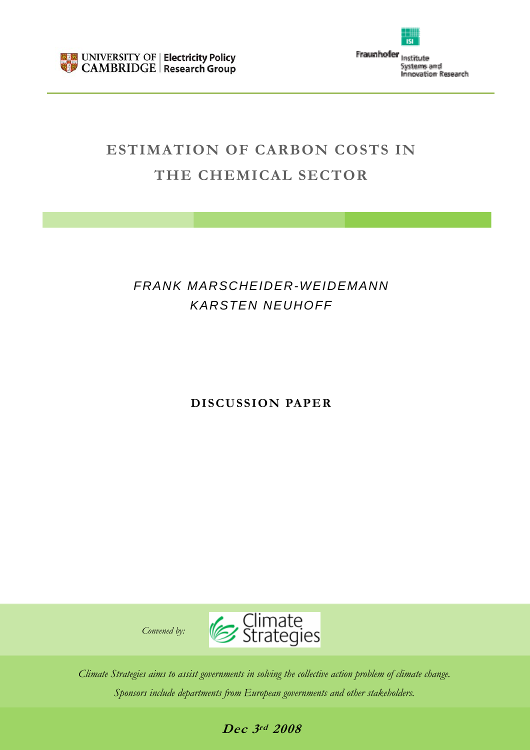

Fraunhofer Institute Systems and **Innovation Research** 

# **ESTIMATION OF CARBON COSTS IN THE CHEMICAL SECTOR**

# *FRANK MARSCHEIDER-WEIDEMANN KARSTEN NEUHOFF*

**DISCUSSION PAPER** 



*Climate Strategies aims to assist governments in solving the collective action problem of climate change. Sponsors include departments from European governments and other stakeholders.* 

# **Dec 3rd 2008**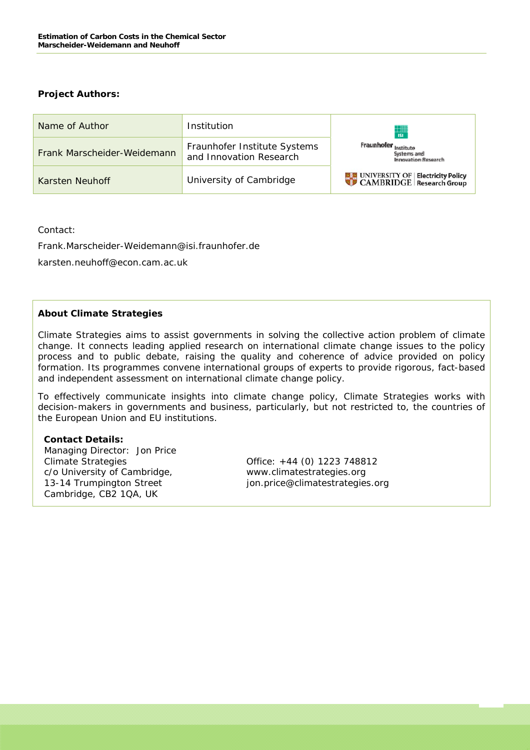#### **Project Authors:**

| Name of Author              | Institution                                             | $\frac{1}{151}$                                                       |
|-----------------------------|---------------------------------------------------------|-----------------------------------------------------------------------|
| Frank Marscheider-Weidemann | Fraunhofer Institute Systems<br>and Innovation Research | Fraunhofer <sub>Institute</sub><br>Systems and<br>Impovation Research |
| Karsten Neuhoff             | University of Cambridge                                 | UNIVERSITY OF Electricity Policy                                      |

Contact:

Frank.Marscheider-Weidemann@isi.fraunhofer.de

karsten.neuhoff@econ.cam.ac.uk

#### **About Climate Strategies**

Climate Strategies aims to assist governments in solving the collective action problem of climate change. It connects leading applied research on international climate change issues to the policy process and to public debate, raising the quality and coherence of advice provided on policy formation. Its programmes convene international groups of experts to provide rigorous, fact-based and independent assessment on international climate change policy.

To effectively communicate insights into climate change policy, Climate Strategies works with decision-makers in governments and business, particularly, but not restricted to, the countries of the European Union and EU institutions.

#### **Contact Details:**

 Managing Director: Jon Price Climate Strategies Office: +44 (0) 1223 748812 c/o University of Cambridge, www.climatestrategies.org Cambridge, CB2 1QA, UK

13-14 Trumpington Street jon.price@climatestrategies.org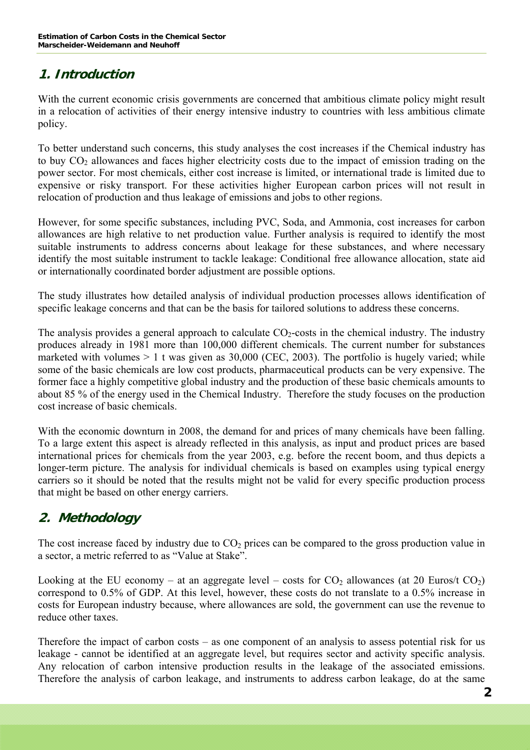# **1. Introduction**

With the current economic crisis governments are concerned that ambitious climate policy might result in a relocation of activities of their energy intensive industry to countries with less ambitious climate policy.

To better understand such concerns, this study analyses the cost increases if the Chemical industry has to buy  $CO<sub>2</sub>$  allowances and faces higher electricity costs due to the impact of emission trading on the power sector. For most chemicals, either cost increase is limited, or international trade is limited due to expensive or risky transport. For these activities higher European carbon prices will not result in relocation of production and thus leakage of emissions and jobs to other regions.

However, for some specific substances, including PVC, Soda, and Ammonia, cost increases for carbon allowances are high relative to net production value. Further analysis is required to identify the most suitable instruments to address concerns about leakage for these substances, and where necessary identify the most suitable instrument to tackle leakage: Conditional free allowance allocation, state aid or internationally coordinated border adjustment are possible options.

The study illustrates how detailed analysis of individual production processes allows identification of specific leakage concerns and that can be the basis for tailored solutions to address these concerns.

The analysis provides a general approach to calculate  $CO<sub>2</sub>$ -costs in the chemical industry. The industry produces already in 1981 more than 100,000 different chemicals. The current number for substances marketed with volumes  $> 1$  t was given as 30,000 (CEC, 2003). The portfolio is hugely varied; while some of the basic chemicals are low cost products, pharmaceutical products can be very expensive. The former face a highly competitive global industry and the production of these basic chemicals amounts to about 85 % of the energy used in the Chemical Industry. Therefore the study focuses on the production cost increase of basic chemicals.

With the economic downturn in 2008, the demand for and prices of many chemicals have been falling. To a large extent this aspect is already reflected in this analysis, as input and product prices are based international prices for chemicals from the year 2003, e.g. before the recent boom, and thus depicts a longer-term picture. The analysis for individual chemicals is based on examples using typical energy carriers so it should be noted that the results might not be valid for every specific production process that might be based on other energy carriers.

# **2. Methodology**

The cost increase faced by industry due to  $CO<sub>2</sub>$  prices can be compared to the gross production value in a sector, a metric referred to as "Value at Stake".

Looking at the EU economy – at an aggregate level – costs for  $CO_2$  allowances (at 20 Euros/t  $CO_2$ ) correspond to 0.5% of GDP. At this level, however, these costs do not translate to a 0.5% increase in costs for European industry because, where allowances are sold, the government can use the revenue to reduce other taxes.

Therefore the impact of carbon costs – as one component of an analysis to assess potential risk for us leakage - cannot be identified at an aggregate level, but requires sector and activity specific analysis. Any relocation of carbon intensive production results in the leakage of the associated emissions. Therefore the analysis of carbon leakage, and instruments to address carbon leakage, do at the same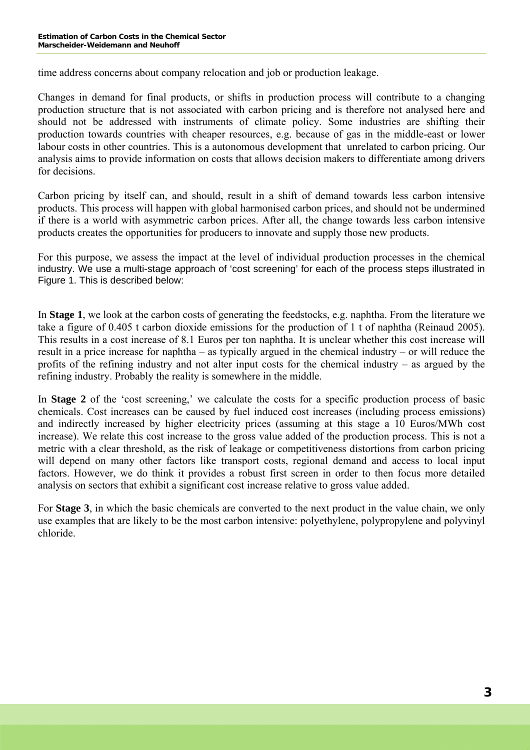time address concerns about company relocation and job or production leakage.

Changes in demand for final products, or shifts in production process will contribute to a changing production structure that is not associated with carbon pricing and is therefore not analysed here and should not be addressed with instruments of climate policy. Some industries are shifting their production towards countries with cheaper resources, e.g. because of gas in the middle-east or lower labour costs in other countries. This is a autonomous development that unrelated to carbon pricing. Our analysis aims to provide information on costs that allows decision makers to differentiate among drivers for decisions.

Carbon pricing by itself can, and should, result in a shift of demand towards less carbon intensive products. This process will happen with global harmonised carbon prices, and should not be undermined if there is a world with asymmetric carbon prices. After all, the change towards less carbon intensive products creates the opportunities for producers to innovate and supply those new products.

For this purpose, we assess the impact at the level of individual production processes in the chemical industry. We use a multi-stage approach of 'cost screening' for each of the process steps illustrated in Figure 1. This is described below:

In **Stage 1**, we look at the carbon costs of generating the feedstocks, e.g. naphtha. From the literature we take a figure of 0.405 t carbon dioxide emissions for the production of 1 t of naphtha (Reinaud 2005). This results in a cost increase of 8.1 Euros per ton naphtha. It is unclear whether this cost increase will result in a price increase for naphtha – as typically argued in the chemical industry – or will reduce the profits of the refining industry and not alter input costs for the chemical industry – as argued by the refining industry. Probably the reality is somewhere in the middle.

In **Stage 2** of the 'cost screening,' we calculate the costs for a specific production process of basic chemicals. Cost increases can be caused by fuel induced cost increases (including process emissions) and indirectly increased by higher electricity prices (assuming at this stage a 10 Euros/MWh cost increase). We relate this cost increase to the gross value added of the production process. This is not a metric with a clear threshold, as the risk of leakage or competitiveness distortions from carbon pricing will depend on many other factors like transport costs, regional demand and access to local input factors. However, we do think it provides a robust first screen in order to then focus more detailed analysis on sectors that exhibit a significant cost increase relative to gross value added.

For **Stage 3**, in which the basic chemicals are converted to the next product in the value chain, we only use examples that are likely to be the most carbon intensive: polyethylene, polypropylene and polyvinyl chloride.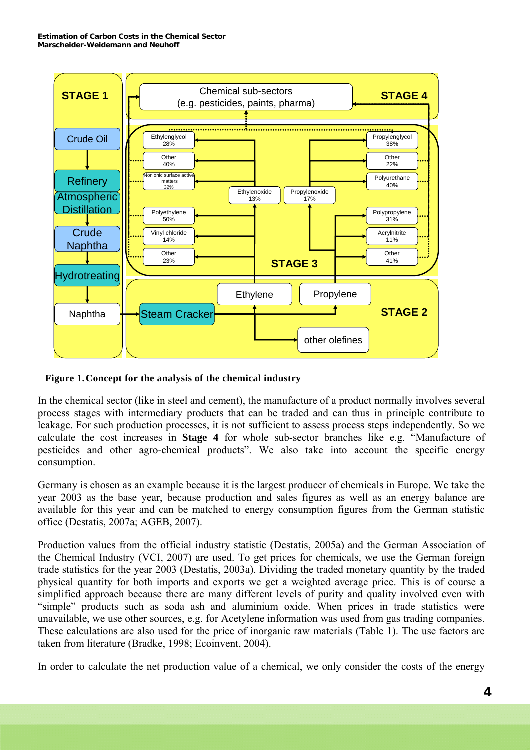

#### **Figure 1. Concept for the analysis of the chemical industry**

In the chemical sector (like in steel and cement), the manufacture of a product normally involves several process stages with intermediary products that can be traded and can thus in principle contribute to leakage. For such production processes, it is not sufficient to assess process steps independently. So we calculate the cost increases in **Stage 4** for whole sub-sector branches like e.g. "Manufacture of pesticides and other agro-chemical products". We also take into account the specific energy consumption.

Germany is chosen as an example because it is the largest producer of chemicals in Europe. We take the year 2003 as the base year, because production and sales figures as well as an energy balance are available for this year and can be matched to energy consumption figures from the German statistic office (Destatis, 2007a; AGEB, 2007).

Production values from the official industry statistic (Destatis, 2005a) and the German Association of the Chemical Industry (VCI, 2007) are used. To get prices for chemicals, we use the German foreign trade statistics for the year 2003 (Destatis, 2003a). Dividing the traded monetary quantity by the traded physical quantity for both imports and exports we get a weighted average price. This is of course a simplified approach because there are many different levels of purity and quality involved even with "simple" products such as soda ash and aluminium oxide. When prices in trade statistics were unavailable, we use other sources, e.g. for Acetylene information was used from gas trading companies. These calculations are also used for the price of inorganic raw materials (Table 1). The use factors are taken from literature (Bradke, 1998; Ecoinvent, 2004).

In order to calculate the net production value of a chemical, we only consider the costs of the energy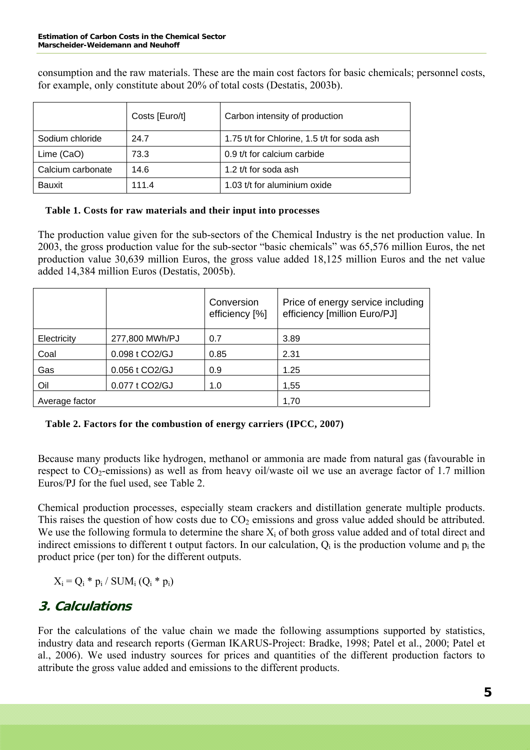consumption and the raw materials. These are the main cost factors for basic chemicals; personnel costs, for example, only constitute about 20% of total costs (Destatis, 2003b).

|                   | Costs [Euro/t] | Carbon intensity of production              |
|-------------------|----------------|---------------------------------------------|
| Sodium chloride   | 24.7           | 1.75 t/t for Chlorine, 1.5 t/t for soda ash |
| Lime (CaO)        | 73.3           | 0.9 t/t for calcium carbide                 |
| Calcium carbonate | 14.6           | 1.2 t/t for soda ash                        |
| <b>Bauxit</b>     | 111.4          | 1.03 t/t for aluminium oxide                |

#### **Table 1. Costs for raw materials and their input into processes**

production value 30,639 million Euros, the gross value added 18,125 million Euros and the net value added 14,384 million Euros (Destatis, 2005b). The production value given for the sub-sectors of the Chemical Industry is the net production value. In 2003, the gross production value for the sub-sector "basic chemicals" was 65,576 million Euros, the net

|                |                | Conversion<br>efficiency [%] | Price of energy service including<br>efficiency [million Euro/PJ] |
|----------------|----------------|------------------------------|-------------------------------------------------------------------|
| Electricity    | 277,800 MWh/PJ | 0.7                          | 3.89                                                              |
| Coal           | 0.098 t CO2/GJ | 0.85                         | 2.31                                                              |
| Gas            | 0.056 t CO2/GJ | 0.9                          | 1.25                                                              |
| Oil            | 0.077 t CO2/GJ | 1.0                          | 1,55                                                              |
| Average factor |                |                              | 1,70                                                              |

## **Table 2. Factors for the combustion of energy carriers (IPCC, 2007)**

respect to  $CO_2$ -emissions) as well as from heavy oil/waste oil we use an average factor of 1.7 million Euros/PJ for the fuel used, see Table 2. Because many products like hydrogen, methanol or ammonia are made from natural gas (favourable in

indirect emissions to different t output factors. In our calculation,  $Q_i$  is the production volume and  $p_i$  the product price (per ton) for the different outputs. Chemical production processes, especially steam crackers and distillation generate multiple products. This raises the question of how costs due to  $CO<sub>2</sub>$  emissions and gross value added should be attributed. We use the following formula to determine the share  $X_i$  of both gross value added and of total direct and

 $X_i = Q_i * p_i / SUM_i (Q_i * p_i)$ 

# **3. Calculations**

al., 2006). We used industry sources for prices and quantities of the different production factors to attribute the gross value added and emissions to the different products. For the calculations of the value chain we made the following assumptions supported by statistics, industry data and research reports (German IKARUS-Project: Bradke, 1998; Patel et al., 2000; Patel et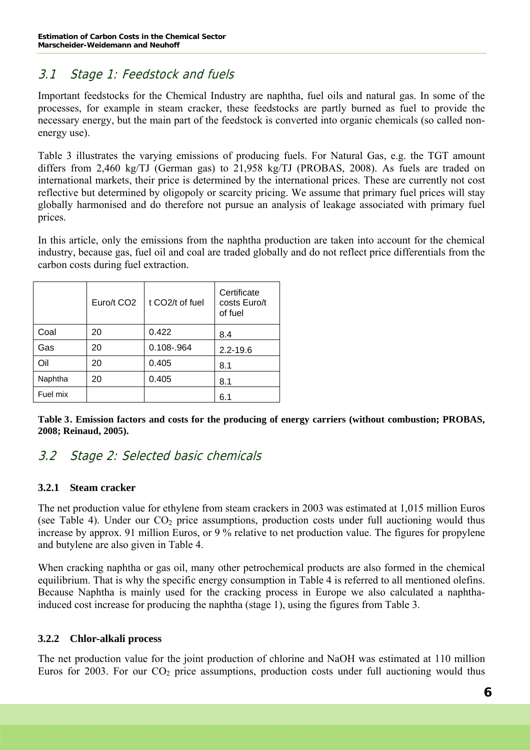# 3.1 Stage 1: Feedstock and fuels

Important feedstocks for the Chemical Industry are naphtha, fuel oils and natural gas. In some of the processes, for example in steam cracker, these feedstocks are partly burned as fuel to provide the necessary energy, but the main part of the feedstock is converted into organic chemicals (so called nonenergy use).

Table 3 illustrates the varying emissions of producing fuels. For Natural Gas, e.g. the TGT amount differs from 2,460 kg/TJ (German gas) to 21,958 kg/TJ (PROBAS, 2008). As fuels are traded on international markets, their price is determined by the international prices. These are currently not cost reflective but determined by oligopoly or scarcity pricing. We assume that primary fuel prices will stay globally harmonised and do therefore not pursue an analysis of leakage associated with primary fuel prices.

In this article, only the emissions from the naphtha production are taken into account for the chemical industry, because gas, fuel oil and coal are traded globally and do not reflect price differentials from the carbon costs during fuel extraction.

|          | Euro/t CO <sub>2</sub> | t CO <sub>2</sub> /t of fuel | Certificate<br>costs Euro/t<br>of fuel |
|----------|------------------------|------------------------------|----------------------------------------|
| Coal     | 20                     | 0.422                        | 8.4                                    |
| Gas      | 20                     | 0.108-.964                   | $2.2 - 19.6$                           |
| Oil      | 20                     | 0.405                        | 8.1                                    |
| Naphtha  | 20                     | 0.405                        | 8.1                                    |
| Fuel mix |                        |                              | 6.1                                    |

**Table 3 . Emission factors and costs for the producing of energy carriers (without combustion; PROBAS, 2008; Reinaud, 2005).** 

# 3.2 Stage 2: Selected basic chemicals

## **3.2.1 Steam cracker**

The net production value for ethylene from steam crackers in 2003 was estimated at 1,015 million Euros (see Table 4). Under our  $CO<sub>2</sub>$  price assumptions, production costs under full auctioning would thus increase by approx. 91 million Euros, or 9 % relative to net production value. The figures for propylene and butylene are also given in Table 4.

When cracking naphtha or gas oil, many other petrochemical products are also formed in the chemical equilibrium. That is why the specific energy consumption in Table 4 is referred to all mentioned olefins. Because Naphtha is mainly used for the cracking process in Europe we also calculated a naphthainduced cost increase for producing the naphtha (stage 1), using the figures from Table 3.

## **3.2.2 Chlor-alkali process**

The net production value for the joint production of chlorine and NaOH was estimated at 110 million Euros for 2003. For our  $CO<sub>2</sub>$  price assumptions, production costs under full auctioning would thus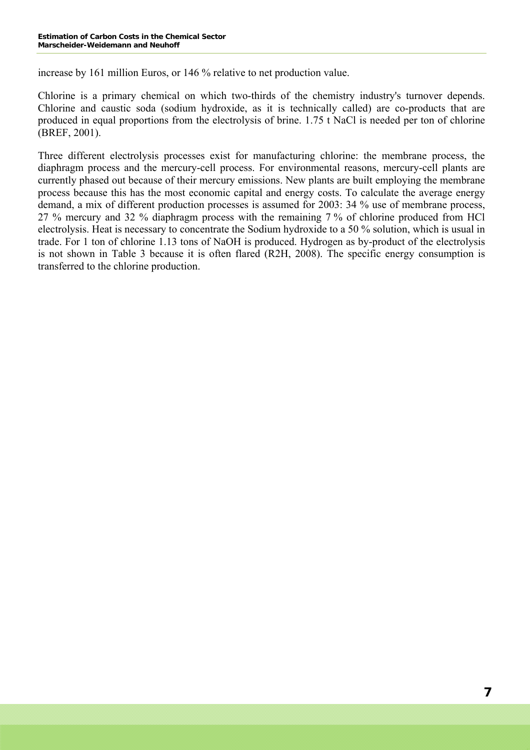increase by 161 million Euros, or 146 % relative to net production value.

Chlorine is a primary chemical on which two-thirds of the chemistry industry's turnover depends. Chlorine and caustic soda (sodium hydroxide, as it is technically called) are co-products that are produced in equal proportions from the electrolysis of brine. 1.75 t NaCl is needed per ton of chlorine (BREF, 2001).

Three different electrolysis processes exist for manufacturing chlorine: the membrane process, the diaphragm process and the mercury-cell process. For environmental reasons, mercury-cell plants are currently phased out because of their mercury emissions. New plants are built employing the membrane process because this has the most economic capital and energy costs. To calculate the average energy demand, a mix of different production processes is assumed for 2003: 34 % use of membrane process, 27 % mercury and 32 % diaphragm process with the remaining 7 % of chlorine produced from HCl electrolysis. Heat is necessary to concentrate the Sodium hydroxide to a 50 % solution, which is usual in trade. For 1 ton of chlorine 1.13 tons of NaOH is produced. Hydrogen as by-product of the electrolysis is not shown in Table 3 because it is often flared (R2H, 2008). The specific energy consumption is transferred to the chlorine production.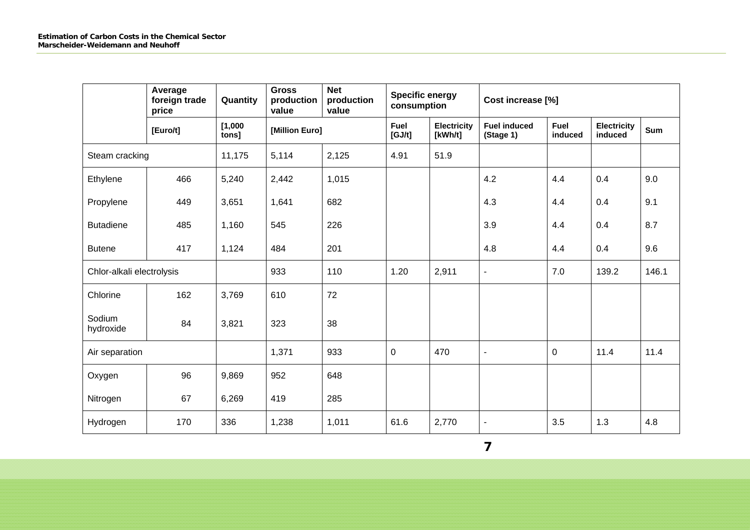|                     | Average<br>foreign trade<br>price | Quantity         | <b>Gross</b><br>production<br>value | <b>Net</b><br>production<br>value | <b>Specific energy</b><br>consumption |                        | Cost increase [%]                |                        |                               |       |
|---------------------|-----------------------------------|------------------|-------------------------------------|-----------------------------------|---------------------------------------|------------------------|----------------------------------|------------------------|-------------------------------|-------|
|                     | [Euro/t]                          | [1,000]<br>tons] | [Million Euro]                      |                                   | Fuel<br>[GJ/t]                        | Electricity<br>[kWh/t] | <b>Fuel induced</b><br>(Stage 1) | <b>Fuel</b><br>induced | <b>Electricity</b><br>induced | Sum   |
| Steam cracking      |                                   | 11,175           | 5,114                               | 2,125                             | 4.91                                  | 51.9                   |                                  |                        |                               |       |
| Ethylene            | 466                               | 5,240            | 2,442                               | 1,015                             |                                       |                        | 4.2                              | 4.4                    | 0.4                           | 9.0   |
| Propylene           | 449                               | 3,651            | 1,641                               | 682                               |                                       | 4.3                    |                                  | 4.4                    | 0.4                           | 9.1   |
| <b>Butadiene</b>    | 485                               | 1,160            | 545                                 | 226                               |                                       |                        | 3.9                              | 4.4                    | 0.4                           | 8.7   |
| <b>Butene</b>       | 417                               | 1,124            | 484                                 | 201                               |                                       |                        | 4.8                              | 4.4                    | 0.4                           | 9.6   |
|                     | Chlor-alkali electrolysis         |                  | 933                                 | 110                               | 1.20                                  | 2,911                  | $\blacksquare$                   | 7.0                    | 139.2                         | 146.1 |
| Chlorine            | 162                               | 3,769            | 610                                 | 72                                |                                       |                        |                                  |                        |                               |       |
| Sodium<br>hydroxide | 84                                | 3,821            | 323                                 | 38                                |                                       |                        |                                  |                        |                               |       |
| Air separation      |                                   |                  | 1,371                               | 933                               | $\mathbf 0$                           | 470                    | $\blacksquare$                   | $\mathbf 0$            | 11.4                          | 11.4  |
| Oxygen              | 96                                | 9,869            | 952                                 | 648                               |                                       |                        |                                  |                        |                               |       |
| Nitrogen            | 67                                | 6,269            | 419                                 | 285                               |                                       |                        |                                  |                        |                               |       |
| Hydrogen            | 170                               | 336              | 1,238                               | 1,011                             | 61.6                                  | 2,770                  | $\blacksquare$                   | 3.5                    | 1.3                           | 4.8   |

**7**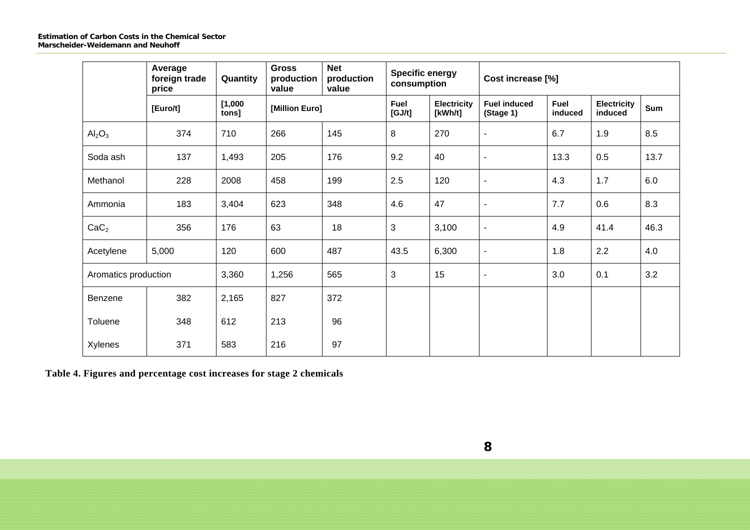|                                | Average<br>foreign trade<br>price | Quantity         | <b>Gross</b><br>production<br>value | <b>Net</b><br>production<br>value | <b>Specific energy</b><br>consumption |                               | Cost increase [%]                |                        |                               |      |
|--------------------------------|-----------------------------------|------------------|-------------------------------------|-----------------------------------|---------------------------------------|-------------------------------|----------------------------------|------------------------|-------------------------------|------|
|                                | [Euro/t]                          | [1,000]<br>tons] | [Million Euro]                      |                                   | <b>Fuel</b><br>[GJ/t]                 | <b>Electricity</b><br>[kWh/t] | <b>Fuel induced</b><br>(Stage 1) | <b>Fuel</b><br>induced | <b>Electricity</b><br>induced | Sum  |
| Al <sub>2</sub> O <sub>3</sub> | 374                               | 710              | 266                                 | 145                               | 8                                     | 270                           | $\blacksquare$                   | 6.7                    | 1.9                           | 8.5  |
| Soda ash                       | 137                               | 1,493            | 205                                 | 176                               | 9.2                                   | 40                            | $\blacksquare$                   | 13.3                   | 0.5                           | 13.7 |
| Methanol                       | 228                               | 2008             | 458                                 | 199                               | 2.5                                   | 120                           | $\blacksquare$                   | 4.3                    | 1.7                           | 6.0  |
| Ammonia                        | 183                               | 3,404            | 623                                 | 348                               | 4.6                                   | 47                            | $\blacksquare$                   | 7.7                    | 0.6                           | 8.3  |
| CaC <sub>2</sub>               | 356                               | 176              | 63                                  | 18                                | 3                                     | 3,100                         | $\blacksquare$                   | 4.9                    | 41.4                          | 46.3 |
| Acetylene                      | 5,000                             | 120              | 600                                 | 487                               | 43.5                                  | 6,300                         | $\blacksquare$                   | 1.8                    | 2.2                           | 4.0  |
| Aromatics production           |                                   | 3,360            | 1,256                               | 565                               | 3                                     | 15                            | $\overline{\phantom{a}}$         | 3.0                    | 0.1                           | 3.2  |
| Benzene                        | 382                               | 2,165            | 827                                 | 372                               |                                       |                               |                                  |                        |                               |      |
| Toluene                        | 348                               | 612              | 213                                 | 96                                |                                       |                               |                                  |                        |                               |      |
| <b>Xylenes</b>                 | 371                               | 583              | 216                                 | 97                                |                                       |                               |                                  |                        |                               |      |

**Table 4. Figures and percentage cost increases for stage 2 chemicals**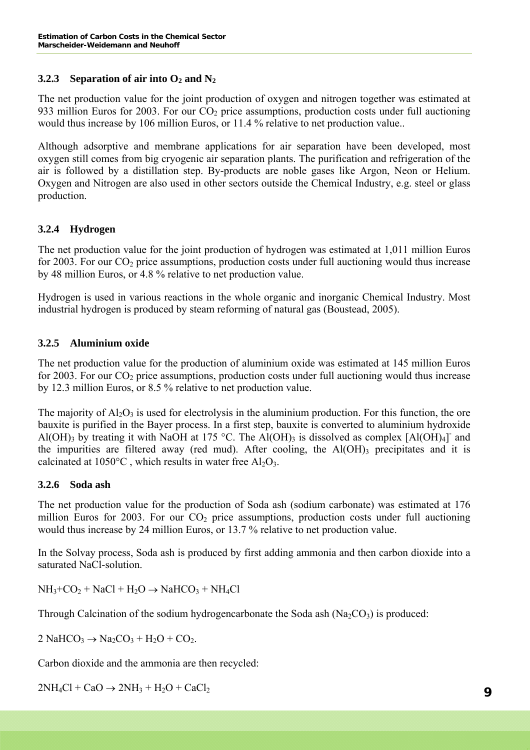## **3.2.3 Separation of air into**  $O_2$  **and**  $N_2$

The net production value for the joint production of oxygen and nitrogen together was estimated at 933 million Euros for 2003. For our  $CO<sub>2</sub>$  price assumptions, production costs under full auctioning would thus increase by 106 million Euros, or 11.4 % relative to net production value..

Although adsorptive and membrane applications for air separation have been developed, most oxygen still comes from big cryogenic air separation plants. The purification and refrigeration of the air is followed by a distillation step. By-products are noble gases like Argon, Neon or Helium. Oxygen and Nitrogen are also used in other sectors outside the Chemical Industry, e.g. steel or glass production.

## **3.2.4 Hydrogen**

The net production value for the joint production of hydrogen was estimated at 1,011 million Euros for 2003. For our  $CO<sub>2</sub>$  price assumptions, production costs under full auctioning would thus increase by 48 million Euros, or 4.8 % relative to net production value.

Hydrogen is used in various reactions in the whole organic and inorganic Chemical Industry. Most industrial hydrogen is produced by steam reforming of natural gas (Boustead, 2005).

## **3.2.5 Aluminium oxide**

The net production value for the production of aluminium oxide was estimated at 145 million Euros for 2003. For our  $CO<sub>2</sub>$  price assumptions, production costs under full auctioning would thus increase by 12.3 million Euros, or 8.5 % relative to net production value.

The majority of  $A<sub>12</sub>O<sub>3</sub>$  is used for electrolysis in the aluminium production. For this function, the ore bauxite is purified in the Bayer process. In a first step, bauxite is converted to aluminium hydroxide Al(OH)<sub>3</sub> by treating it with NaOH at 175 °C. The Al(OH)<sub>3</sub> is dissolved as complex [Al(OH)<sub>4</sub>] and the impurities are filtered away (red mud). After cooling, the  $Al(OH)$ <sub>3</sub> precipitates and it is calcinated at  $1050^{\circ}$ C, which results in water free Al<sub>2</sub>O<sub>3</sub>.

## **3.2.6 Soda ash**

The net production value for the production of Soda ash (sodium carbonate) was estimated at 176 million Euros for 2003. For our  $CO<sub>2</sub>$  price assumptions, production costs under full auctioning would thus increase by 24 million Euros, or 13.7 % relative to net production value.

In the Solvay process, Soda ash is produced by first adding ammonia and then carbon dioxide into a saturated NaCl-solution.

 $NH_3+CO_2 + NaCl + H_2O \rightarrow NaHCO_3 + NH_4Cl$ 

Through Calcination of the sodium hydrogencarbonate the Soda ash  $(Na_2CO_3)$  is produced:

 $2 \text{ NaHCO}_3 \rightarrow \text{Na}_2\text{CO}_3 + \text{H}_2\text{O} + \text{CO}_2.$ 

Carbon dioxide and the ammonia are then recycled:

 $2NH_4Cl + CaO \rightarrow 2NH_3 + H_2O + CaCl_2$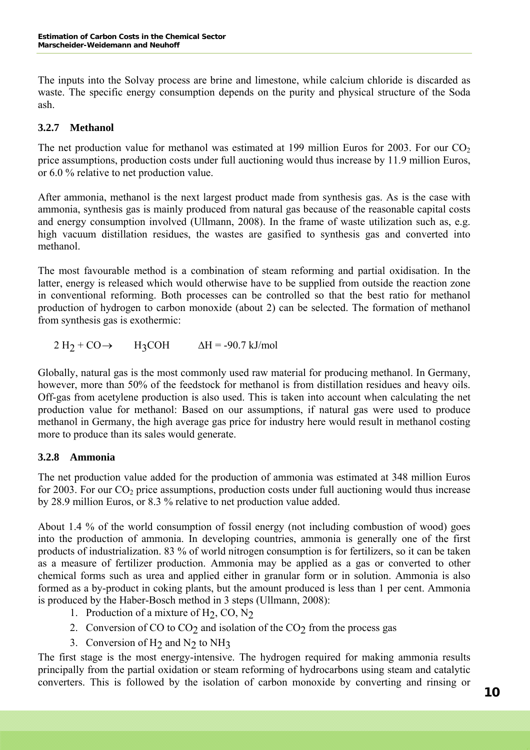The inputs into the [Solvay process](http://en.wikipedia.org/wiki/Solvay_process) are brine and limestone, while calcium chloride is discarded as waste. The specific energy consumption depends on the purity and physical structure of the Soda ash.

## **3.2.7 Methanol**

The net production value for methanol was estimated at 199 million Euros for 2003. For our  $CO<sub>2</sub>$ price assumptions, production costs under full auctioning would thus increase by 11.9 million Euros, or 6.0 % relative to net production value.

After ammonia, methanol is the next largest product made from synthesis gas. As is the case with ammonia, synthesis gas is mainly produced from natural gas because of the reasonable capital costs and energy consumption involved (Ullmann, 2008). In the frame of waste utilization such as, e.g. high vacuum distillation residues, the wastes are gasified to synthesis gas and converted into methanol.

The most favourable method is a combination of steam reforming and partial oxidisation. In the latter, energy is released which would otherwise have to be supplied from outside the reaction zone in conventional reforming. Both processes can be controlled so that the best ratio for methanol production of hydrogen to carbon monoxide (about 2) can be selected. The formation of methanol from synthesis gas is exothermic:

 $2 \text{H}_2 + \text{CO} \rightarrow \text{H}_3\text{CO} \text{H} \quad \Delta \text{H} = -90.7 \text{ kJ/mol}$ 

Globally, natural gas is the most commonly used raw material for producing methanol. In Germany, however, more than 50% of the feedstock for methanol is from distillation residues and heavy oils. Off-gas from acetylene production is also used. This is taken into account when calculating the net production value for methanol: Based on our assumptions, if natural gas were used to produce methanol in Germany, the high average gas price for industry here would result in methanol costing more to produce than its sales would generate.

## **3.2.8 Ammonia**

The net production value added for the production of ammonia was estimated at 348 million Euros for 2003. For our  $CO<sub>2</sub>$  price assumptions, production costs under full auctioning would thus increase by 28.9 million Euros, or 8.3 % relative to net production value added.

About 1.4 % of the world consumption of fossil energy (not including combustion of wood) goes into the production of ammonia. In developing countries, ammonia is generally one of the first products of industrialization. 83 % of world nitrogen consumption is for fertilizers, so it can be taken as a measure of fertilizer production. Ammonia may be applied as a gas or converted to other chemical forms such as urea and applied either in granular form or in solution. Ammonia is also formed as a by-product in coking plants, but the amount produced is less than 1 per cent. Ammonia is produced by the Haber-Bosch method in 3 steps (Ullmann, 2008):

- 1. Production of a mixture of  $H_2$ , CO, N<sub>2</sub>
- 2. Conversion of CO to  $CO<sub>2</sub>$  and isolation of the  $CO<sub>2</sub>$  from the process gas
- 3. Conversion of  $H_2$  and  $N_2$  to  $NH_3$

The first stage is the most energy-intensive. The hydrogen required for making ammonia results principally from the partial oxidation or steam reforming of hydrocarbons using steam and catalytic converters. This is followed by the isolation of carbon monoxide by converting and rinsing or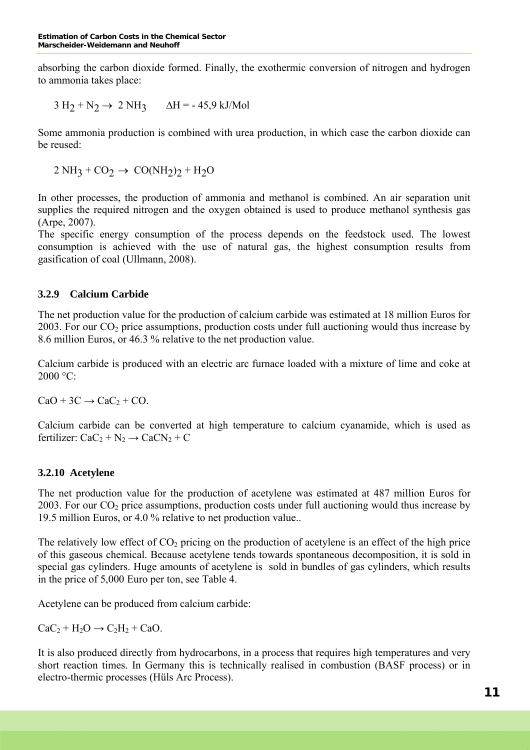absorbing the carbon dioxide formed. Finally, the exothermic conversion of nitrogen and hydrogen to ammonia takes place:

 $3 H<sub>2</sub> + N<sub>2</sub> \rightarrow 2 NH<sub>3</sub>$   $\Delta H = -45.9$  kJ/Mol

Some ammonia production is combined with urea production, in which case the carbon dioxide can be reused:

 $2 NH_3 + CO_2 \rightarrow CO(NH_2)2 + H_2O$ 

In other processes, the production of ammonia and methanol is combined. An air separation unit supplies the required nitrogen and the oxygen obtained is used to produce methanol synthesis gas (Arpe, 2007).

The specific energy consumption of the process depends on the feedstock used. The lowest consumption is achieved with the use of natural gas, the highest consumption results from gasification of coal (Ullmann, 2008).

## **3.2.9 Calcium Carbide**

The net production value for the production of calcium carbide was estimated at 18 million Euros for 2003. For our  $CO<sub>2</sub>$  price assumptions, production costs under full auctioning would thus increase by 8.6 million Euros, or 46.3 % relative to the net production value.

Calcium carbide is produced with an electric arc furnace loaded with a mixture of lime and coke at  $2000 °C$ :

 $CaO + 3C \rightarrow CaC_2 + CO$ .

Calcium carbide can be converted at high temperature to calcium cyanamide, which is used as fertilizer:  $CaC_2 + N_2 \rightarrow CaCN_2 + C$ 

## **3.2.10 Acetylene**

The net production value for the production of acetylene was estimated at 487 million Euros for 2003. For our  $CO<sub>2</sub>$  price assumptions, production costs under full auctioning would thus increase by 19.5 million Euros, or 4.0 % relative to net production value..

The relatively low effect of  $CO<sub>2</sub>$  pricing on the production of acetylene is an effect of the high price of this gaseous chemical. Because acetylene tends towards spontaneous decomposition, it is sold in special gas cylinders. Huge amounts of acetylene is sold in bundles of gas cylinders, which results in the price of 5,000 Euro per ton, see Table 4.

Acetylene can be produced from calcium carbide:

 $CaC_2 + H_2O \rightarrow C_2H_2 + CaO.$ 

It is also produced directly from hydrocarbons, in a process that requires high temperatures and very short reaction times. In Germany this is technically realised in combustion (BASF process) or in electro-thermic processes (Hüls Arc Process).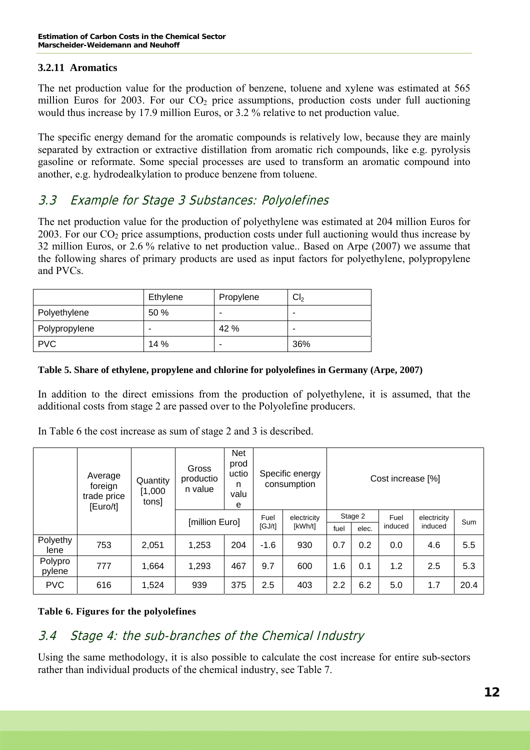## **3.2.11 Aromatics**

The net production value for the production of benzene, toluene and xylene was estimated at 565 million Euros for 2003. For our  $CO<sub>2</sub>$  price assumptions, production costs under full auctioning would thus increase by 17.9 million Euros, or 3.2 % relative to net production value.

The specific energy demand for the aromatic compounds is relatively low, because they are mainly separated by extraction or extractive distillation from aromatic rich compounds, like e.g. pyrolysis gasoline or reformate. Some special processes are used to transform an aromatic compound into another, e.g. hydrodealkylation to produce benzene from toluene.

# 3.3 Example for Stage 3 Substances: Polyolefines

The net production value for the production of polyethylene was estimated at 204 million Euros for 2003. For our  $CO<sub>2</sub>$  price assumptions, production costs under full auctioning would thus increase by 32 million Euros, or 2.6 % relative to net production value.. Based on Arpe (2007) we assume that the following shares of primary products are used as input factors for polyethylene, polypropylene and PVCs.

|               | Ethylene | Propylene | Cl <sub>2</sub> |
|---------------|----------|-----------|-----------------|
| Polyethylene  | 50 %     | -         | -               |
| Polypropylene |          | 42 %      |                 |
| <b>PVC</b>    | 14%      | -         | 36%             |

#### **Table 5. Share of ethylene, propylene and chlorine for polyolefines in Germany (Arpe, 2007)**

In addition to the direct emissions from the production of polyethylene, it is assumed, that the additional costs from stage 2 are passed over to the Polyolefine producers.

In Table 6 the cost increase as sum of stage 2 and 3 is described.

|                   | Average<br>foreign<br>trade price<br>[Euro/t] | Quantity<br>[1,000]<br>tons] | Gross<br>productio<br>n value | <b>Net</b><br>prod<br>uctio<br>n<br>valu<br>e |        | Specific energy<br>consumption | Cost increase [%] |         |                 |             |      |
|-------------------|-----------------------------------------------|------------------------------|-------------------------------|-----------------------------------------------|--------|--------------------------------|-------------------|---------|-----------------|-------------|------|
|                   |                                               |                              |                               | [million Euro]                                |        | electricity<br>[kWh/t]         |                   | Stage 2 | Fuel<br>induced | electricity | Sum  |
|                   |                                               |                              |                               |                                               | [GJ/t] |                                | fuel              | elec.   |                 | induced     |      |
| Polyethy<br>lene  | 753                                           | 2,051                        | 1,253                         | 204                                           | $-1.6$ | 930                            | 0.7               | 0.2     | 0.0             | 4.6         | 5.5  |
| Polypro<br>pylene | 777                                           | 1,664                        | 1,293                         | 467                                           | 9.7    | 600                            | 1.6               | 0.1     | 1.2             | 2.5         | 5.3  |
| <b>PVC</b>        | 616                                           | 1,524                        | 939                           | 375                                           | 2.5    | 403                            | 2.2               | 6.2     | 5.0             | 1.7         | 20.4 |

## **Table 6. Figures for the polyolefines**

# 3.4 Stage 4: the sub-branches of the Chemical Industry

Using the same methodology, it is also possible to calculate the cost increase for entire sub-sectors rather than individual products of the chemical industry, see Table 7.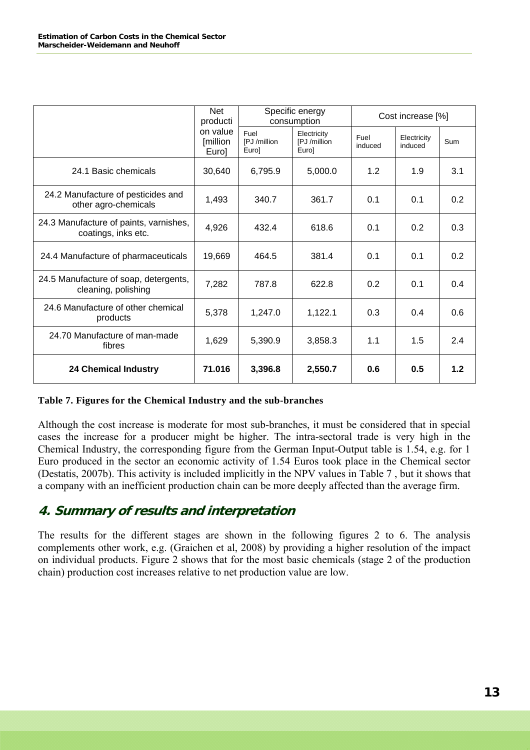|                                                               | Net<br>producti               |                               | Specific energy<br>consumption       | Cost increase [%] |                        |     |  |
|---------------------------------------------------------------|-------------------------------|-------------------------------|--------------------------------------|-------------------|------------------------|-----|--|
|                                                               | on value<br>[million<br>Euro] | Fuel<br>[PJ /million<br>Eurol | Electricity<br>[PJ /million<br>Euro] | Fuel<br>induced   | Electricity<br>induced | Sum |  |
| 24.1 Basic chemicals                                          | 30,640                        | 6,795.9                       | 5,000.0                              | 1.2               | 1.9                    | 3.1 |  |
| 24.2 Manufacture of pesticides and<br>other agro-chemicals    | 1,493                         | 340.7                         | 361.7                                | 0.1               | 0.1                    | 0.2 |  |
| 24.3 Manufacture of paints, varnishes,<br>coatings, inks etc. | 4,926                         | 432.4                         | 618.6                                | 0.1               | 0.2                    | 0.3 |  |
| 24.4 Manufacture of pharmaceuticals                           | 19,669                        | 464.5                         | 381.4                                | 0.1               | 0.1                    | 0.2 |  |
| 24.5 Manufacture of soap, detergents,<br>cleaning, polishing  | 7,282                         | 787.8                         | 622.8                                | 0.2               | 0.1                    | 0.4 |  |
| 24.6 Manufacture of other chemical<br>products                | 5,378                         | 1,247.0                       | 1,122.1                              | 0.3               | 0.4                    | 0.6 |  |
| 24.70 Manufacture of man-made<br>fibres                       | 1,629                         | 5,390.9                       | 3,858.3                              | 1.1               | 1.5                    | 2.4 |  |
| <b>24 Chemical Industry</b>                                   | 71.016                        | 3,396.8                       | 2,550.7                              | 0.6               | 0.5                    | 1.2 |  |

#### **Table 7. Figures for the Chemical Industry and the sub-branches**

Although the cost increase is moderate for most sub-branches, it must be considered that in special cases the increase for a producer might be higher. The intra-sectoral trade is very high in the Chemical Industry, the corresponding figure from the German Input-Output table is 1.54, e.g. for 1 Euro produced in the sector an economic activity of 1.54 Euros took place in the Chemical sector (Destatis, 2007b). This activity is included implicitly in the NPV values in Table 7 , but it shows that a company with an inefficient production chain can be more deeply affected than the average firm.

# **4. Summary of results and interpretation**

The results for the different stages are shown in the following figures 2 to 6. The analysis complements other work, e.g. (Graichen et al, 2008) by providing a higher resolution of the impact on individual products. Figure 2 shows that for the most basic chemicals (stage 2 of the production chain) production cost increases relative to net production value are low.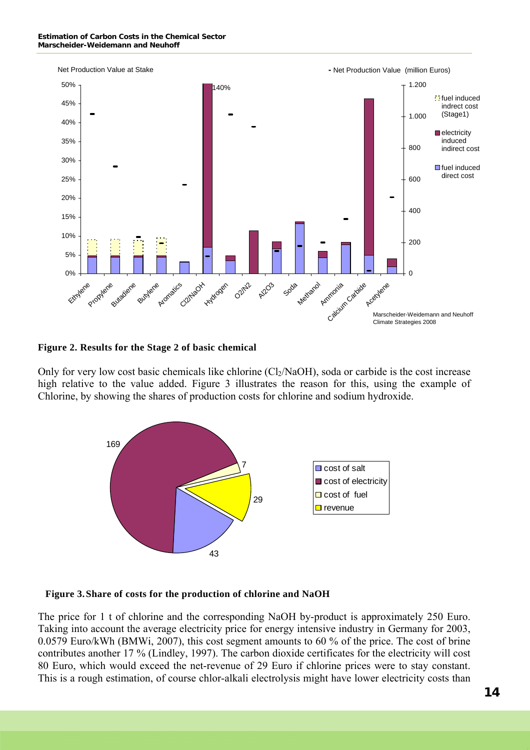

**Figure 2. Results for the Stage 2 of basic chemical** 

Only for very low cost basic chemicals like chlorine  $\text{(Cl}_2\text{/NaOH)}$ , soda or carbide is the cost increase high relative to the value added. Figure 3 illustrates the reason for this, using the example of Chlorine, by showing the shares of production costs for chlorine and sodium hydroxide.



#### **Figure 3. Share of costs for the production of chlorine and NaOH**

The price for 1 t of chlorine and the corresponding NaOH by-product is approximately 250 Euro. Taking into account the average electricity price for energy intensive industry in Germany for 2003, 0.0579 Euro/kWh (BMWi, 2007), this cost segment amounts to 60 % of the price. The cost of brine contributes another 17 % (Lindley, 1997). The carbon dioxide certificates for the electricity will cost 80 Euro, which would exceed the net-revenue of 29 Euro if chlorine prices were to stay constant. This is a rough estimation, of course chlor-alkali electrolysis might have lower electricity costs than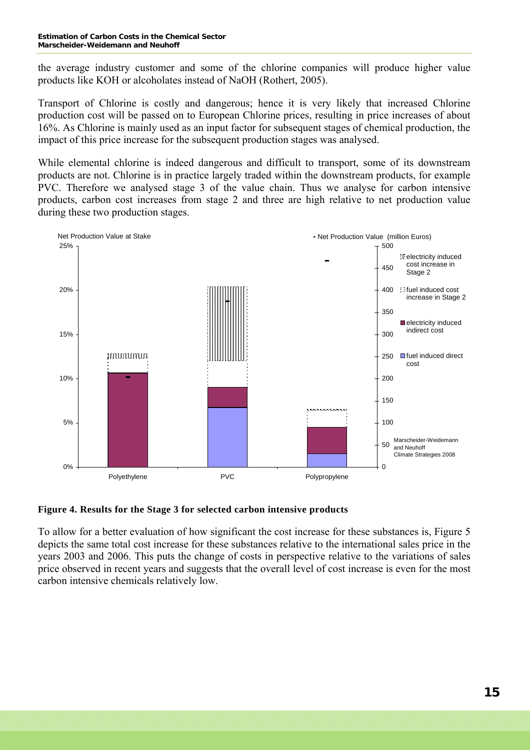#### **Estimation of Carbon Costs in the Chemical Sector Marscheider-Weidemann and Neuhoff**

the average industry customer and some of the chlorine companies will produce higher value products like KOH or alcoholates instead of NaOH (Rothert, 2005).

Transport of Chlorine is costly and dangerous; hence it is very likely that increased Chlorine production cost will be passed on to European Chlorine prices, resulting in price increases of about 16%. As Chlorine is mainly used as an input factor for subsequent stages of chemical production, the impact of this price increase for the subsequent production stages was analysed.

While elemental chlorine is indeed dangerous and difficult to transport, some of its downstream products are not. Chlorine is in practice largely traded within the downstream products, for example PVC. Therefore we analysed stage 3 of the value chain. Thus we analyse for carbon intensive products, carbon cost increases from stage 2 and three are high relative to net production value during these two production stages.



#### **Figure 4. Results for the Stage 3 for selected carbon intensive products**

To allow for a better evaluation of how significant the cost increase for these substances is, Figure 5 depicts the same total cost increase for these substances relative to the international sales price in the years 2003 and 2006. This puts the change of costs in perspective relative to the variations of sales price observed in recent years and suggests that the overall level of cost increase is even for the most carbon intensive chemicals relatively low.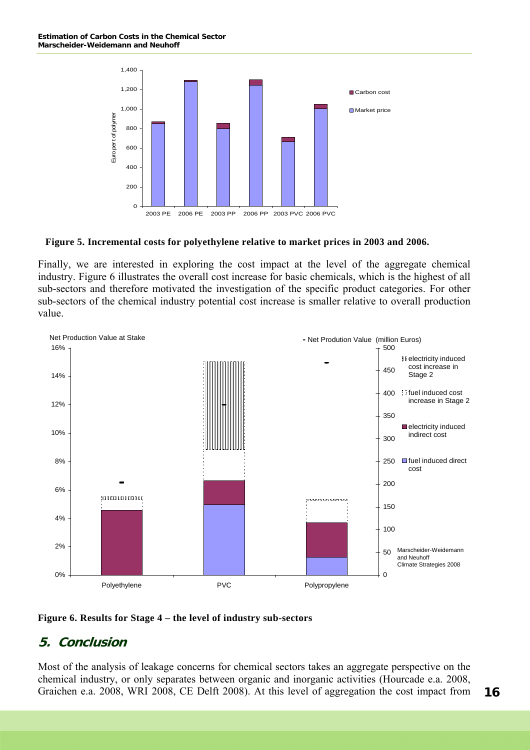

#### **Figure 5. Incremental costs for polyethylene relative to market prices in 2003 and 2006.**

Finally, we are interested in exploring the cost impact at the level of the aggregate chemical industry. Figure 6 illustrates the overall cost increase for basic chemicals, which is the highest of all sub-sectors and therefore motivated the investigation of the specific product categories. For other sub-sectors of the chemical industry potential cost increase is smaller relative to overall production value.



#### **Figure 6. Results for Stage 4 – the level of industry sub-sectors**

## **5. Conclusion**

Most of the analysis of leakage concerns for chemical sectors takes an aggregate perspective on the chemical industry, or only separates between organic and inorganic activities (Hourcade e.a. 2008, Graichen e.a. 2008, WRI 2008, CE Delft 2008). At this level of aggregation the cost impact from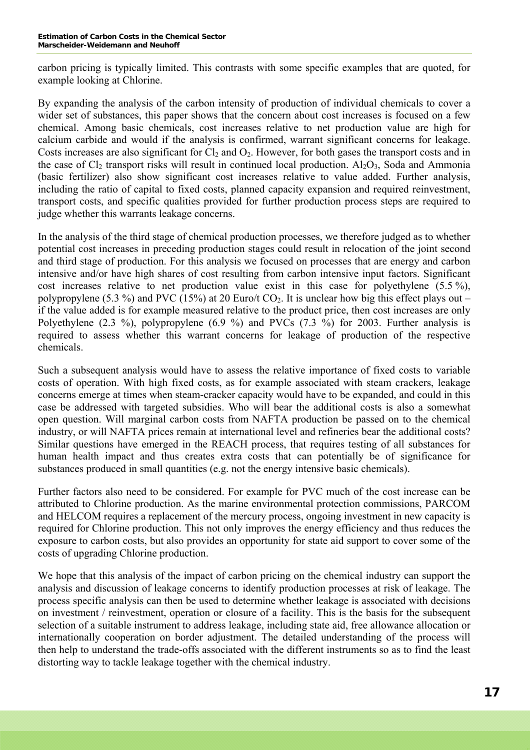carbon pricing is typically limited. This contrasts with some specific examples that are quoted, for example looking at Chlorine.

By expanding the analysis of the carbon intensity of production of individual chemicals to cover a wider set of substances, this paper shows that the concern about cost increases is focused on a few chemical. Among basic chemicals, cost increases relative to net production value are high for calcium carbide and would if the analysis is confirmed, warrant significant concerns for leakage. Costs increases are also significant for  $Cl_2$  and  $O_2$ . However, for both gases the transport costs and in the case of  $Cl_2$  transport risks will result in continued local production.  $Al_2O_3$ , Soda and Ammonia (basic fertilizer) also show significant cost increases relative to value added. Further analysis, including the ratio of capital to fixed costs, planned capacity expansion and required reinvestment, transport costs, and specific qualities provided for further production process steps are required to judge whether this warrants leakage concerns.

In the analysis of the third stage of chemical production processes, we therefore judged as to whether potential cost increases in preceding production stages could result in relocation of the joint second and third stage of production. For this analysis we focused on processes that are energy and carbon intensive and/or have high shares of cost resulting from carbon intensive input factors. Significant cost increases relative to net production value exist in this case for polyethylene (5.5 %), polypropylene (5.3 %) and PVC (15%) at 20 Euro/t  $CO<sub>2</sub>$ . It is unclear how big this effect plays out – if the value added is for example measured relative to the product price, then cost increases are only Polyethylene (2.3 %), polypropylene (6.9 %) and PVCs (7.3 %) for 2003. Further analysis is required to assess whether this warrant concerns for leakage of production of the respective chemicals.

Such a subsequent analysis would have to assess the relative importance of fixed costs to variable costs of operation. With high fixed costs, as for example associated with steam crackers, leakage concerns emerge at times when steam-cracker capacity would have to be expanded, and could in this case be addressed with targeted subsidies. Who will bear the additional costs is also a somewhat open question. Will marginal carbon costs from NAFTA production be passed on to the chemical industry, or will NAFTA prices remain at international level and refineries bear the additional costs? Similar questions have emerged in the REACH process, that requires testing of all substances for human health impact and thus creates extra costs that can potentially be of significance for substances produced in small quantities (e.g. not the energy intensive basic chemicals).

Further factors also need to be considered. For example for PVC much of the cost increase can be attributed to Chlorine production. As the marine environmental protection commissions, PARCOM and HELCOM requires a replacement of the mercury process, ongoing investment in new capacity is required for Chlorine production. This not only improves the energy efficiency and thus reduces the exposure to carbon costs, but also provides an opportunity for state aid support to cover some of the costs of upgrading Chlorine production.

We hope that this analysis of the impact of carbon pricing on the chemical industry can support the analysis and discussion of leakage concerns to identify production processes at risk of leakage. The process specific analysis can then be used to determine whether leakage is associated with decisions on investment / reinvestment, operation or closure of a facility. This is the basis for the subsequent selection of a suitable instrument to address leakage, including state aid, free allowance allocation or internationally cooperation on border adjustment. The detailed understanding of the process will then help to understand the trade-offs associated with the different instruments so as to find the least distorting way to tackle leakage together with the chemical industry.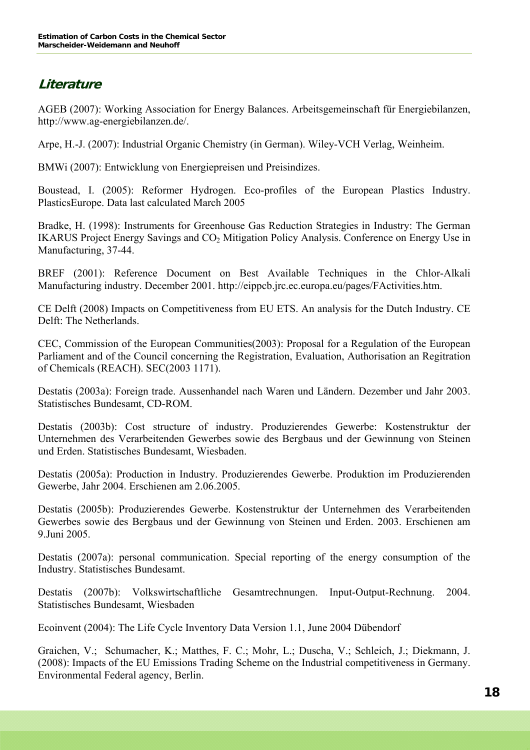# **Literature**

AGEB (2007): Working Association for Energy Balances. Arbeitsgemeinschaft für Energiebilanzen, http://www.ag-energiebilanzen.de/.

Arpe, H.-J. (2007): Industrial Organic Chemistry (in German). Wiley-VCH Verlag, Weinheim.

BMWi (2007): Entwicklung von Energiepreisen und Preisindizes.

Boustead, I. (2005): Reformer Hydrogen. Eco-profiles of the European Plastics Industry. PlasticsEurope. Data last calculated March 2005

Bradke, H. (1998): Instruments for Greenhouse Gas Reduction Strategies in Industry: The German IKARUS Project Energy Savings and CO<sub>2</sub> Mitigation Policy Analysis. Conference on Energy Use in Manufacturing, 37-44.

BREF (2001): Reference Document on Best Available Techniques in the Chlor-Alkali Manufacturing industry. December 2001. http://eippcb.jrc.ec.europa.eu/pages/FActivities.htm.

CE Delft (2008) Impacts on Competitiveness from EU ETS. An analysis for the Dutch Industry. CE Delft: The Netherlands.

CEC, Commission of the European Communities(2003): Proposal for a Regulation of the European Parliament and of the Council concerning the Registration, Evaluation, Authorisation an Regitration of Chemicals (REACH). SEC(2003 1171).

Destatis (2003a): Foreign trade. Aussenhandel nach Waren und Ländern. Dezember und Jahr 2003. Statistisches Bundesamt, CD-ROM.

Destatis (2003b): Cost structure of industry. Produzierendes Gewerbe: Kostenstruktur der Unternehmen des Verarbeitenden Gewerbes sowie des Bergbaus und der Gewinnung von Steinen und Erden. Statistisches Bundesamt, Wiesbaden.

Destatis (2005a): Production in Industry. Produzierendes Gewerbe. Produktion im Produzierenden Gewerbe, Jahr 2004. Erschienen am 2.06.2005.

Destatis (2005b): Produzierendes Gewerbe. Kostenstruktur der Unternehmen des Verarbeitenden Gewerbes sowie des Bergbaus und der Gewinnung von Steinen und Erden. 2003. Erschienen am 9.Juni 2005.

Destatis (2007a): personal communication. Special reporting of the energy consumption of the Industry. Statistisches Bundesamt.

Destatis (2007b): Volkswirtschaftliche Gesamtrechnungen. Input-Output-Rechnung. 2004. Statistisches Bundesamt, Wiesbaden

Ecoinvent (2004): The Life Cycle Inventory Data Version 1.1, June 2004 Dübendorf

Graichen, V.; Schumacher, K.; Matthes, F. C.; Mohr, L.; Duscha, V.; Schleich, J.; Diekmann, J. (2008): Impacts of the EU Emissions Trading Scheme on the Industrial competitiveness in Germany. Environmental Federal agency, Berlin.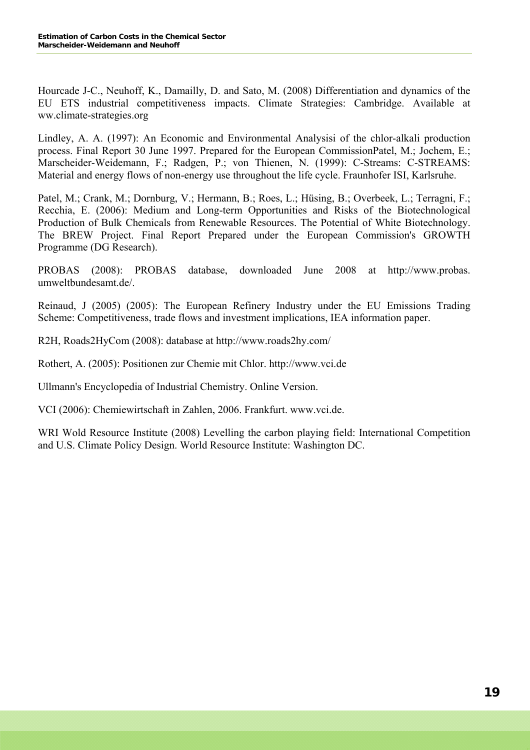Hourcade J-C., Neuhoff, K., Damailly, D. and Sato, M. (2008) Differentiation and dynamics of the EU ETS industrial competitiveness impacts. Climate Strategies: Cambridge. Available at ww.climate-strategies.org

Lindley, A. A. (1997): An Economic and Environmental Analysisi of the chlor-alkali production process. Final Report 30 June 1997. Prepared for the European CommissionPatel, M.; Jochem, E.; Marscheider-Weidemann, F.; Radgen, P.; von Thienen, N. (1999): C-Streams: C-STREAMS: Material and energy flows of non-energy use throughout the life cycle. Fraunhofer ISI, Karlsruhe.

Patel, M.; Crank, M.; Dornburg, V.; Hermann, B.; Roes, L.; Hüsing, B.; Overbeek, L.; Terragni, F.; Recchia, E. (2006): Medium and Long-term Opportunities and Risks of the Biotechnological Production of Bulk Chemicals from Renewable Resources. The Potential of White Biotechnology. The BREW Project. Final Report Prepared under the European Commission's GROWTH Programme (DG Research).

PROBAS (2008): PROBAS database, downloaded June 2008 at [http://www.probas](http://www.probas/). umweltbundesamt.de/.

Reinaud, J (2005) (2005): The European Refinery Industry under the EU Emissions Trading Scheme: Competitiveness, trade flows and investment implications, IEA information paper.

R2H, Roads2HyCom (2008): database at http://www.roads2hy.com/

Rothert, A. (2005): Positionen zur Chemie mit Chlor. http://www.vci.de

Ullmann's Encyclopedia of Industrial Chemistry. Online Version.

VCI (2006): Chemiewirtschaft in Zahlen, 2006. Frankfurt. [www.vci.de.](http://www.vci.de/)

WRI Wold Resource Institute (2008) Levelling the carbon playing field: International Competition and U.S. Climate Policy Design. World Resource Institute: Washington DC.